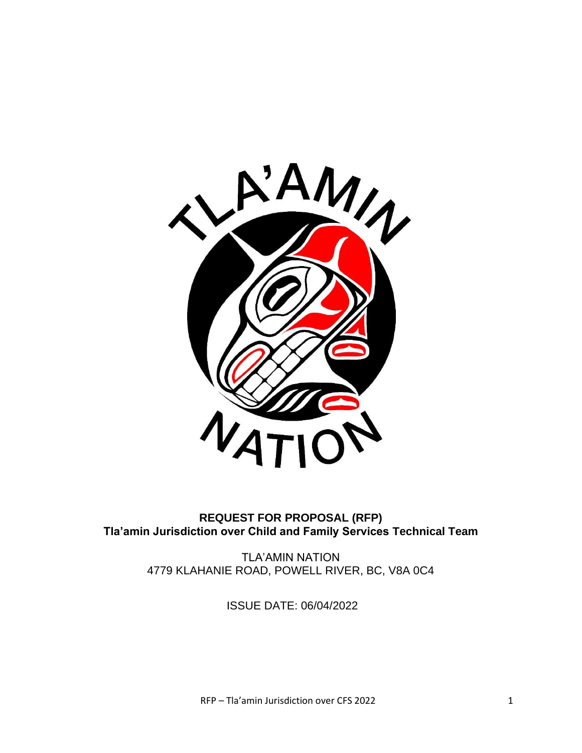

#### **REQUEST FOR PROPOSAL (RFP) Tla'amin Jurisdiction over Child and Family Services Technical Team**

TLA'AMIN NATION 4779 KLAHANIE ROAD, POWELL RIVER, BC, V8A 0C4

ISSUE DATE: 06/04/2022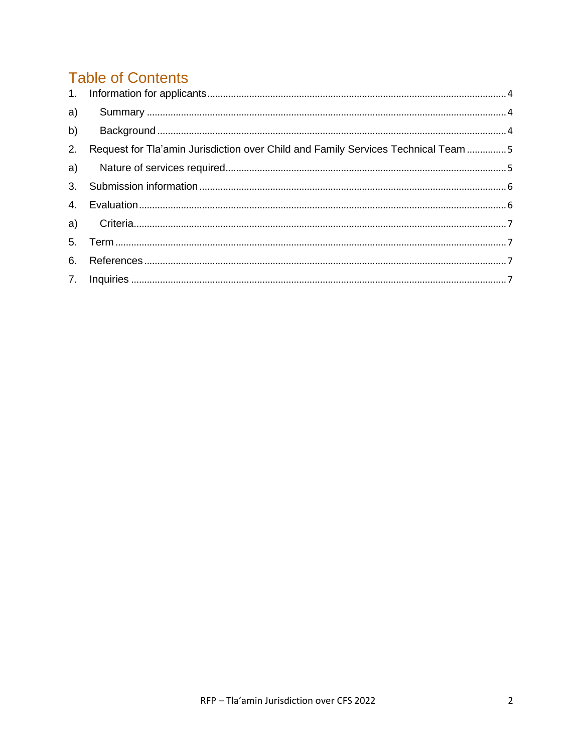# **Table of Contents**

| b)             |                                                                                   |  |
|----------------|-----------------------------------------------------------------------------------|--|
| 2.             | Request for Tla'amin Jurisdiction over Child and Family Services Technical Team 5 |  |
|                |                                                                                   |  |
| 3 <sub>1</sub> |                                                                                   |  |
|                |                                                                                   |  |
|                |                                                                                   |  |
|                |                                                                                   |  |
| 6.             |                                                                                   |  |
|                |                                                                                   |  |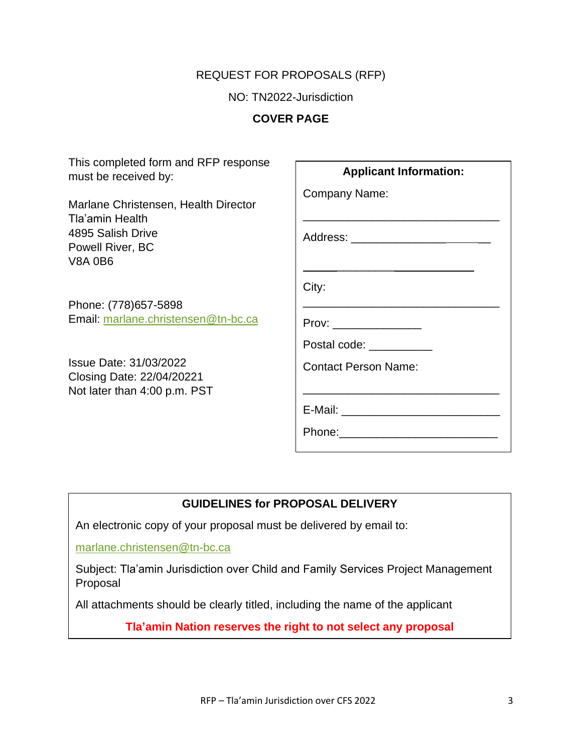#### REQUEST FOR PROPOSALS (RFP)

NO: TN2022-Jurisdiction

**COVER PAGE**

| This completed form and RFP response<br>must be received by:                                                       | <b>Applicant Information:</b>                                                                                                                                                  |
|--------------------------------------------------------------------------------------------------------------------|--------------------------------------------------------------------------------------------------------------------------------------------------------------------------------|
| Marlane Christensen, Health Director<br>Tla'amin Health<br>4895 Salish Drive<br>Powell River, BC<br><b>V8A 0B6</b> | Company Name:<br><u> 1989 - Johann John Stone, markin film yn y brening yn y brening yn y brening yn y brening yn y brening yn y b</u><br>Address: ___________________________ |
|                                                                                                                    | City:                                                                                                                                                                          |
| Phone: (778) 657-5898<br>Email: marlane.christensen@tn-bc.ca                                                       | the control of the control of the control of the control of the control of the control of<br>$Prov: \_$                                                                        |
|                                                                                                                    | Postal code: <u>New York Base Base Contract</u>                                                                                                                                |
| Issue Date: 31/03/2022<br>Closing Date: 22/04/20221<br>Not later than 4:00 p.m. PST                                | <b>Contact Person Name:</b>                                                                                                                                                    |
|                                                                                                                    |                                                                                                                                                                                |
|                                                                                                                    |                                                                                                                                                                                |

#### **GUIDELINES for PROPOSAL DELIVERY**

An electronic copy of your proposal must be delivered by email to:

[marlane.christensen@tn-bc.ca](mailto:marlane.christensen@tn-bc.ca)

Subject: Tla'amin Jurisdiction over Child and Family Services Project Management Proposal

All attachments should be clearly titled, including the name of the applicant

**Tla'amin Nation reserves the right to not select any proposal**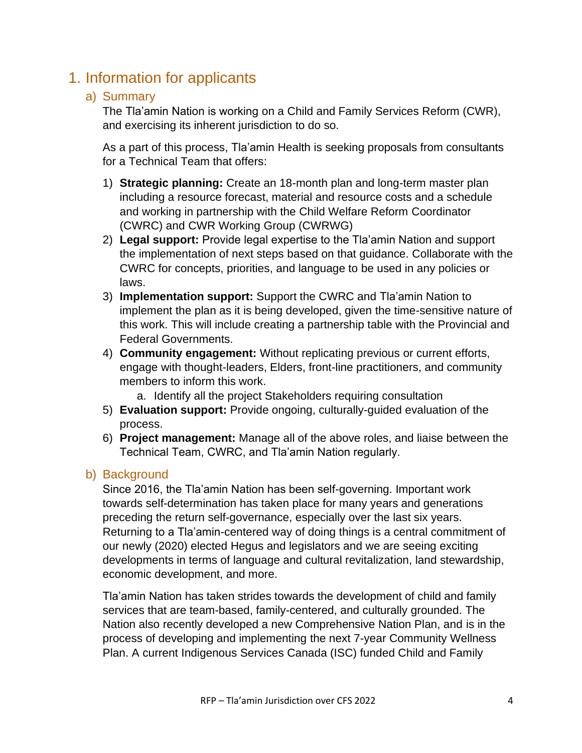## <span id="page-3-1"></span><span id="page-3-0"></span>1. Information for applicants

#### a) Summary

The Tla'amin Nation is working on a Child and Family Services Reform (CWR), and exercising its inherent jurisdiction to do so.

As a part of this process, Tla'amin Health is seeking proposals from consultants for a Technical Team that offers:

- 1) **Strategic planning:** Create an 18-month plan and long-term master plan including a resource forecast, material and resource costs and a schedule and working in partnership with the Child Welfare Reform Coordinator (CWRC) and CWR Working Group (CWRWG)
- 2) **Legal support:** Provide legal expertise to the Tla'amin Nation and support the implementation of next steps based on that guidance. Collaborate with the CWRC for concepts, priorities, and language to be used in any policies or laws.
- 3) **Implementation support:** Support the CWRC and Tla'amin Nation to implement the plan as it is being developed, given the time-sensitive nature of this work. This will include creating a partnership table with the Provincial and Federal Governments.
- 4) **Community engagement:** Without replicating previous or current efforts, engage with thought-leaders, Elders, front-line practitioners, and community members to inform this work.
	- a. Identify all the project Stakeholders requiring consultation
- 5) **Evaluation support:** Provide ongoing, culturally-guided evaluation of the process.
- 6) **Project management:** Manage all of the above roles, and liaise between the Technical Team, CWRC, and Tla'amin Nation regularly.

#### <span id="page-3-2"></span>b) Background

Since 2016, the Tla'amin Nation has been self-governing. Important work towards self-determination has taken place for many years and generations preceding the return self-governance, especially over the last six years. Returning to a Tla'amin-centered way of doing things is a central commitment of our newly (2020) elected Hegus and legislators and we are seeing exciting developments in terms of language and cultural revitalization, land stewardship, economic development, and more.

Tla'amin Nation has taken strides towards the development of child and family services that are team-based, family-centered, and culturally grounded. The Nation also recently developed a new Comprehensive Nation Plan, and is in the process of developing and implementing the next 7-year Community Wellness Plan. A current Indigenous Services Canada (ISC) funded Child and Family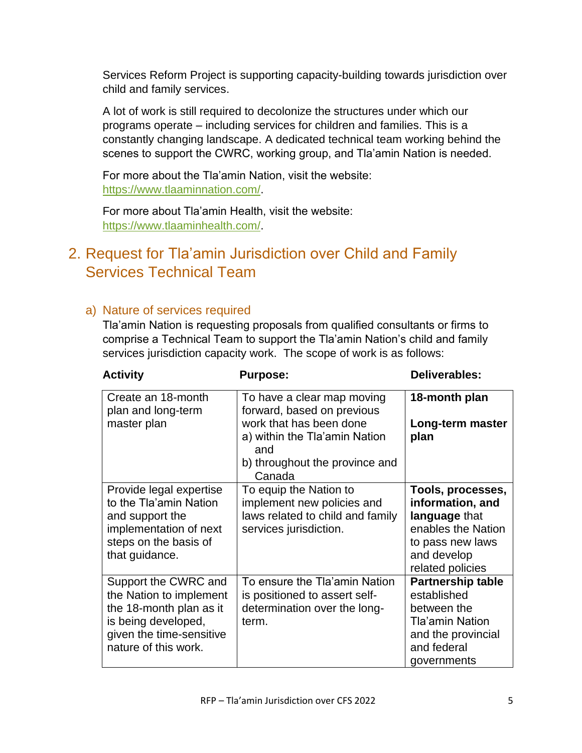Services Reform Project is supporting capacity-building towards jurisdiction over child and family services.

A lot of work is still required to decolonize the structures under which our programs operate – including services for children and families. This is a constantly changing landscape. A dedicated technical team working behind the scenes to support the CWRC, working group, and Tla'amin Nation is needed.

For more about the Tla'amin Nation, visit the website: [https://www.tlaaminnation.com/.](https://www.tlaaminnation.com/)

For more about Tla'amin Health, visit the website: [https://www.tlaaminhealth.com/.](https://www.tlaaminhealth.com/)

## <span id="page-4-0"></span>2. Request for Tla'amin Jurisdiction over Child and Family Services Technical Team

#### <span id="page-4-1"></span>a) Nature of services required

Tla'amin Nation is requesting proposals from qualified consultants or firms to comprise a Technical Team to support the Tla'amin Nation's child and family services jurisdiction capacity work. The scope of work is as follows:

| <b>Activity</b>                                                                                                                                       | <b>Purpose:</b>                                                                                                    | Deliverables:                                                                                                                       |
|-------------------------------------------------------------------------------------------------------------------------------------------------------|--------------------------------------------------------------------------------------------------------------------|-------------------------------------------------------------------------------------------------------------------------------------|
| Create an 18-month<br>plan and long-term                                                                                                              | To have a clear map moving<br>forward, based on previous                                                           | 18-month plan                                                                                                                       |
| master plan                                                                                                                                           | work that has been done<br>a) within the Tla'amin Nation<br>and<br>b) throughout the province and<br>Canada        | Long-term master<br>plan                                                                                                            |
| Provide legal expertise<br>to the Tla'amin Nation<br>and support the<br>implementation of next<br>steps on the basis of<br>that guidance.             | To equip the Nation to<br>implement new policies and<br>laws related to child and family<br>services jurisdiction. | Tools, processes,<br>information, and<br>language that<br>enables the Nation<br>to pass new laws<br>and develop<br>related policies |
| Support the CWRC and<br>the Nation to implement<br>the 18-month plan as it<br>is being developed,<br>given the time-sensitive<br>nature of this work. | To ensure the Tla'amin Nation<br>is positioned to assert self-<br>determination over the long-<br>term.            | <b>Partnership table</b><br>established<br>between the<br>Tla'amin Nation<br>and the provincial<br>and federal<br>governments       |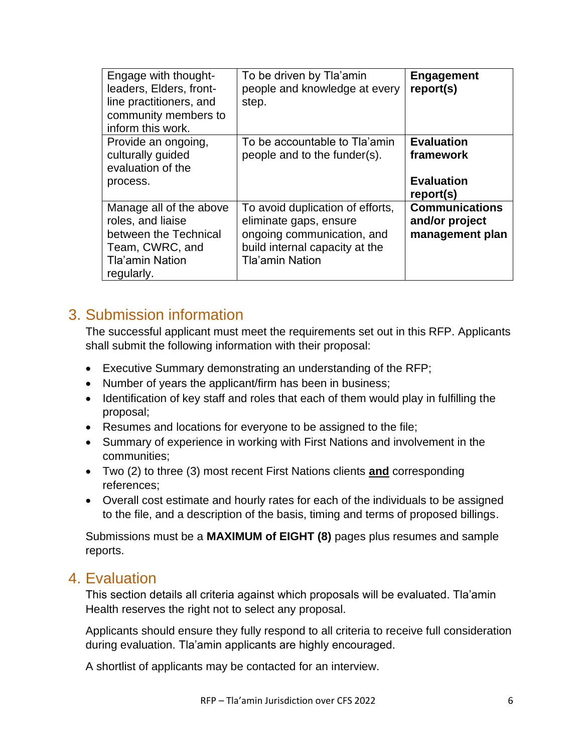| Engage with thought-<br>leaders, Elders, front-<br>line practitioners, and<br>community members to<br>inform this work.          | To be driven by Tla'amin<br>people and knowledge at every<br>step.                                                                                   | <b>Engagement</b><br>report(s)                                   |
|----------------------------------------------------------------------------------------------------------------------------------|------------------------------------------------------------------------------------------------------------------------------------------------------|------------------------------------------------------------------|
| Provide an ongoing,<br>culturally guided<br>evaluation of the<br>process.                                                        | To be accountable to Tla'amin<br>people and to the funder(s).                                                                                        | <b>Evaluation</b><br>framework<br><b>Evaluation</b><br>report(s) |
| Manage all of the above<br>roles, and liaise<br>between the Technical<br>Team, CWRC, and<br><b>Tla'amin Nation</b><br>regularly. | To avoid duplication of efforts,<br>eliminate gaps, ensure<br>ongoing communication, and<br>build internal capacity at the<br><b>Tla'amin Nation</b> | <b>Communications</b><br>and/or project<br>management plan       |

## <span id="page-5-0"></span>3. Submission information

The successful applicant must meet the requirements set out in this RFP. Applicants shall submit the following information with their proposal:

- Executive Summary demonstrating an understanding of the RFP;
- Number of years the applicant/firm has been in business;
- Identification of key staff and roles that each of them would play in fulfilling the proposal;
- Resumes and locations for everyone to be assigned to the file;
- Summary of experience in working with First Nations and involvement in the communities;
- Two (2) to three (3) most recent First Nations clients **and** corresponding references;
- Overall cost estimate and hourly rates for each of the individuals to be assigned to the file, and a description of the basis, timing and terms of proposed billings.

Submissions must be a **MAXIMUM of EIGHT (8)** pages plus resumes and sample reports.

### <span id="page-5-1"></span>4. Evaluation

This section details all criteria against which proposals will be evaluated. Tla'amin Health reserves the right not to select any proposal.

Applicants should ensure they fully respond to all criteria to receive full consideration during evaluation. Tla'amin applicants are highly encouraged.

A shortlist of applicants may be contacted for an interview.